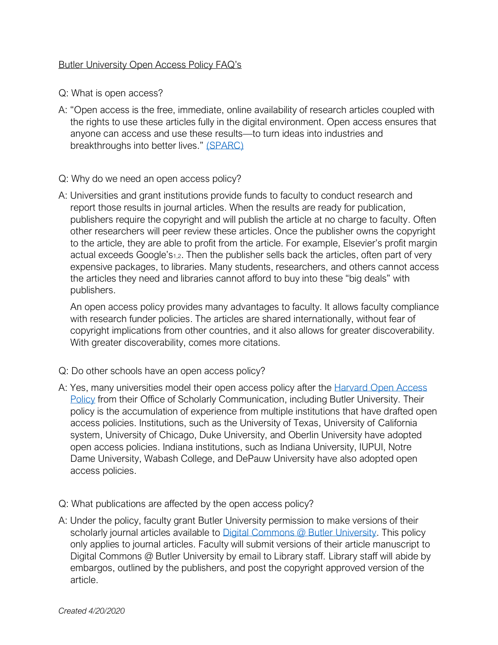## Butler University Open Access Policy FAQ's

Q: What is open access?

- A: "Open access is the free, immediate, online availability of research articles coupled with the rights to use these articles fully in the digital environment. Open access ensures that anyone can access and use these results—to turn ideas into industries and breakthroughs into better lives." [\(SPARC\)](https://sparcopen.org/open-access/)
- Q: Why do we need an open access policy?
- A: Universities and grant institutions provide funds to faculty to conduct research and report those results in journal articles. When the results are ready for publication, publishers require the copyright and will publish the article at no charge to faculty. Often other researchers will peer review these articles. Once the publisher owns the copyright to the article, they are able to profit from the article. For example, Elsevier's profit margin actual exceeds Google's<sub>1,2</sub>. Then the publisher sells back the articles, often part of very expensive packages, to libraries. Many students, researchers, and others cannot access the articles they need and libraries cannot afford to buy into these "big deals" with publishers.

An open access policy provides many advantages to faculty. It allows faculty compliance with research funder policies. The articles are shared internationally, without fear of copyright implications from other countries, and it also allows for greater discoverability. With greater discoverability, comes more citations.

- Q: Do other schools have an open access policy?
- A: Yes, many universities model their open access policy after the Harvard Open Access [Policy](https://osc.hul.harvard.edu/modelpolicy/) from their Office of Scholarly Communication, including Butler University. Their policy is the accumulation of experience from multiple institutions that have drafted open access policies. Institutions, such as the University of Texas, University of California system, University of Chicago, Duke University, and Oberlin University have adopted open access policies. Indiana institutions, such as Indiana University, IUPUI, Notre Dame University, Wabash College, and DePauw University have also adopted open access policies.
- Q: What publications are affected by the open access policy?
- A: Under the policy, faculty grant Butler University permission to make versions of their scholarly journal articles available to [Digital Commons @ Butler University.](http://digitalcommons.butler.edu/) This policy only applies to journal articles. Faculty will submit versions of their article manuscript to Digital Commons @ Butler University by email to Library staff. Library staff will abide by embargos, outlined by the publishers, and post the copyright approved version of the article.